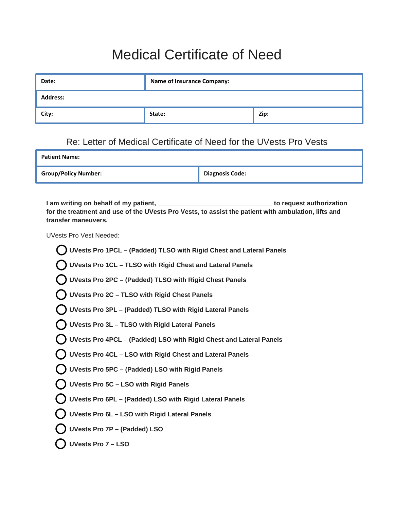## Medical Certificate of Need

| Date:           | <b>Name of Insurance Company:</b> |      |  |  |  |
|-----------------|-----------------------------------|------|--|--|--|
| <b>Address:</b> |                                   |      |  |  |  |
| City:           | State:                            | Zip: |  |  |  |

## Re: Letter of Medical Certificate of Need for the UVests Pro Vests

| <b>Patient Name:</b>        |                        |
|-----------------------------|------------------------|
| <b>Group/Policy Number:</b> | <b>Diagnosis Code:</b> |

**I am writing on behalf of my patient, \_\_\_\_\_\_\_\_\_\_\_\_\_\_\_\_\_\_\_\_\_\_\_\_\_\_\_\_\_\_\_\_ to request authorization for the treatment and use of the UVests Pro Vests, to assist the patient with ambulation, lifts and transfer maneuvers.** 

UVests Pro Vest Needed:

- **UVests Pro 1PCL – (Padded) TLSO with Rigid Chest and Lateral Panels**
- **UVests Pro 1CL – TLSO with Rigid Chest and Lateral Panels**
- **UVests Pro 2PC – (Padded) TLSO with Rigid Chest Panels**
- **UVests Pro 2C – TLSO with Rigid Chest Panels**
- **UVests Pro 3PL – (Padded) TLSO with Rigid Lateral Panels**
- **UVests Pro 3L – TLSO with Rigid Lateral Panels**
- **UVests Pro 4PCL – (Padded) LSO with Rigid Chest and Lateral Panels**
- **UVests Pro 4CL – LSO with Rigid Chest and Lateral Panels**
- **UVests Pro 5PC – (Padded) LSO with Rigid Panels**
- **UVests Pro 5C – LSO with Rigid Panels**
- **UVests Pro 6PL – (Padded) LSO with Rigid Lateral Panels**
- **UVests Pro 6L – LSO with Rigid Lateral Panels**
- **UVests Pro 7P – (Padded) LSO**
- **UVests Pro 7 – LSO**